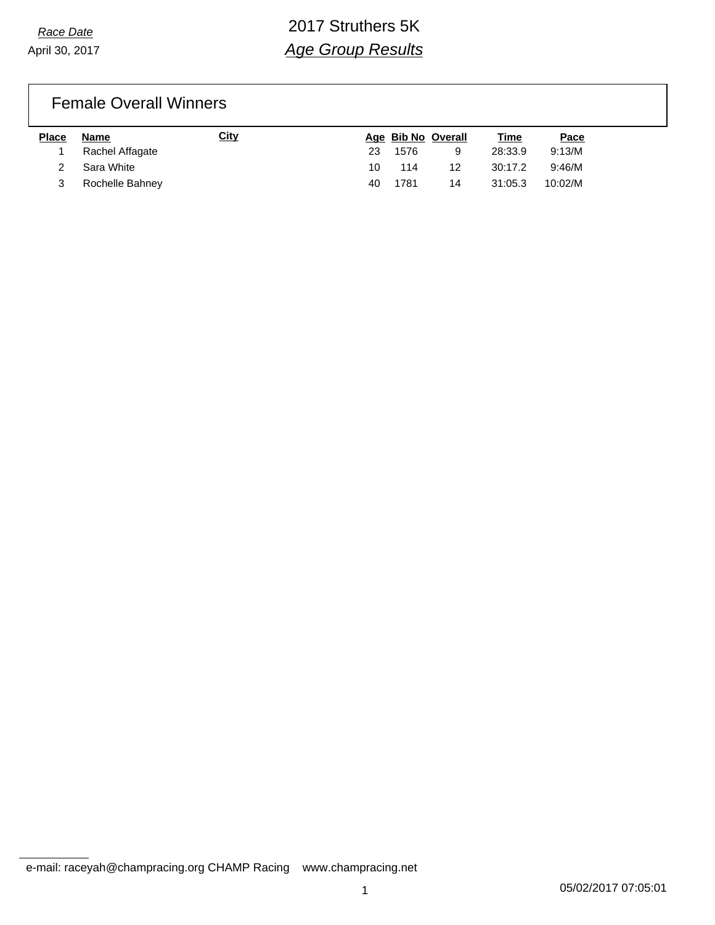April 30, 2017

# *Race Date* 2017 Struthers 5K *Age Group Results*

### Female Overall Winners

| <b>Place</b> | Name            | <u>City</u> |    | Age Bib No Overall |    | Time    | Pace    |
|--------------|-----------------|-------------|----|--------------------|----|---------|---------|
|              | Rachel Affagate |             | 23 | 1576               |    | 28:33.9 | 9:13/M  |
|              | 2 Sara White    |             | 10 | 114                | 12 | 30:17.2 | 9:46/M  |
|              | Rochelle Bahney |             | 40 | 1781               | 14 | 31:05.3 | 10:02/M |

e-mail: raceyah@champracing.org CHAMP Racing www.champracing.net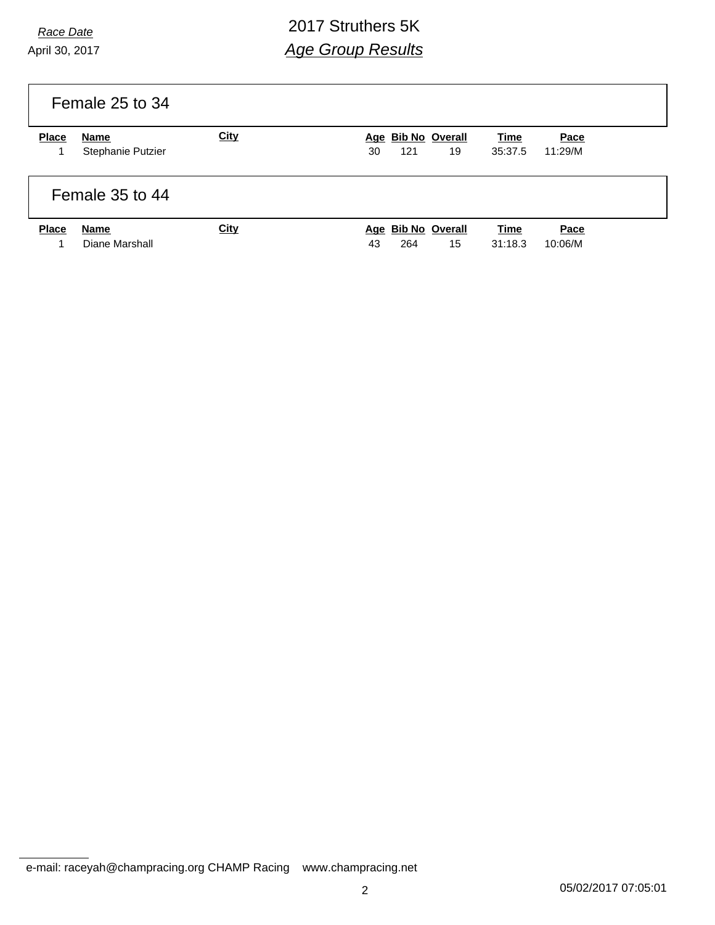April 30, 2017

# *Race Date* 2017 Struthers 5K *Age Group Results*

|              | Female 25 to 34           |      |                                       |                 |                 |
|--------------|---------------------------|------|---------------------------------------|-----------------|-----------------|
| <b>Place</b> | Name<br>Stephanie Putzier | City | Age Bib No Overall<br>19<br>121<br>30 | Time<br>35:37.5 | Pace<br>11:29/M |
|              | Female 35 to 44           |      |                                       |                 |                 |
| <b>Place</b> | Name<br>Diane Marshall    | City | Age Bib No Overall<br>15<br>264<br>43 | Time<br>31:18.3 | Pace<br>10:06/M |

e-mail: raceyah@champracing.org CHAMP Racing www.champracing.net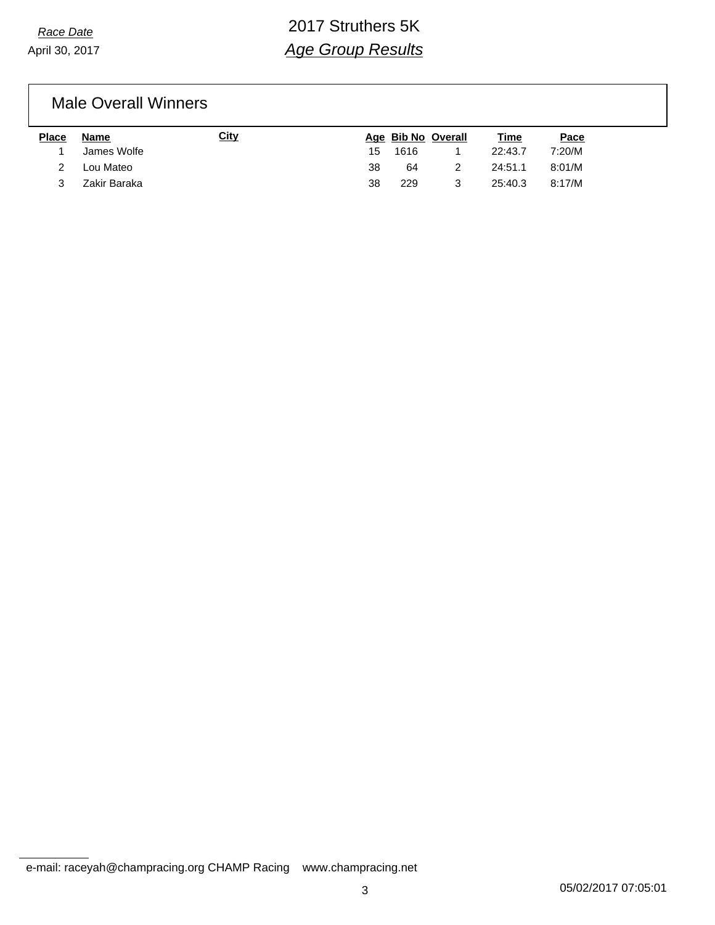April 30, 2017

# *Race Date* 2017 Struthers 5K *Age Group Results*

Male Overall Winners

| Place | Name         | City |    |      | Age Bib No Overall | Time    | <u>Pace</u> |
|-------|--------------|------|----|------|--------------------|---------|-------------|
|       | James Wolfe  |      | 15 | 1616 |                    | 22:43.7 | 7:20/M      |
|       | Lou Mateo    |      | 38 | 64   |                    | 24:51.1 | 8:01/M      |
|       | Zakir Baraka |      | 38 | 229  |                    | 25:40.3 | 8:17/M      |

e-mail: raceyah@champracing.org CHAMP Racing www.champracing.net